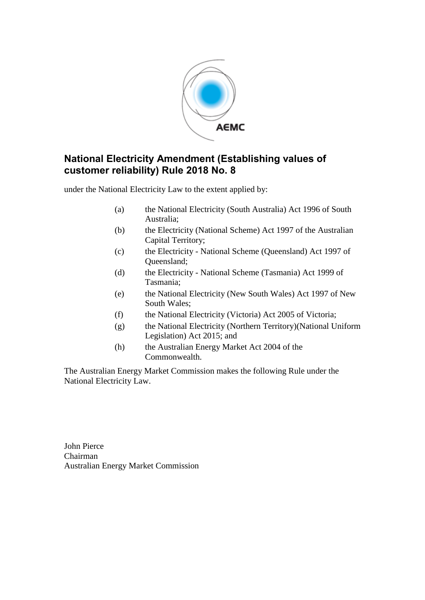

# **National Electricity Amendment (Establishing values of customer reliability) Rule 2018 No. 8**

under the National Electricity Law to the extent applied by:

- (a) the National Electricity (South Australia) Act 1996 of South Australia;
- (b) the Electricity (National Scheme) Act 1997 of the Australian Capital Territory;
- (c) the Electricity National Scheme (Queensland) Act 1997 of Queensland;
- (d) the Electricity National Scheme (Tasmania) Act 1999 of Tasmania;
- (e) the National Electricity (New South Wales) Act 1997 of New South Wales;
- (f) the National Electricity (Victoria) Act 2005 of Victoria;
- (g) the National Electricity (Northern Territory)(National Uniform Legislation) Act 2015; and
- (h) the Australian Energy Market Act 2004 of the Commonwealth.

The Australian Energy Market Commission makes the following Rule under the National Electricity Law.

John Pierce Chairman Australian Energy Market Commission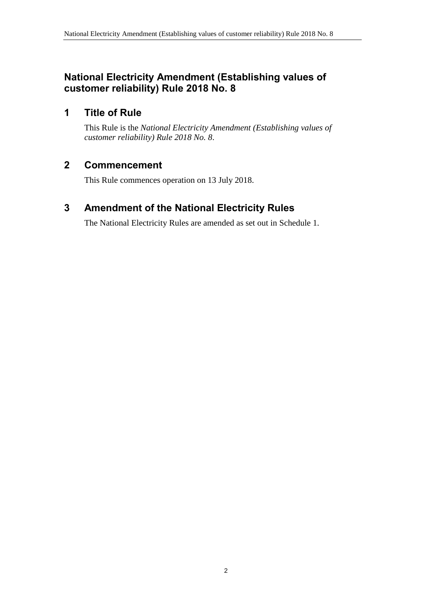# **National Electricity Amendment (Establishing values of customer reliability) Rule 2018 No. 8**

# **1 Title of Rule**

This Rule is the *National Electricity Amendment (Establishing values of customer reliability) Rule 2018 No. 8*.

# **2 Commencement**

This Rule commences operation on 13 July 2018.

# <span id="page-1-0"></span>**3 Amendment of the National Electricity Rules**

The National Electricity Rules are amended as set out in [Schedule 1.](#page-2-0)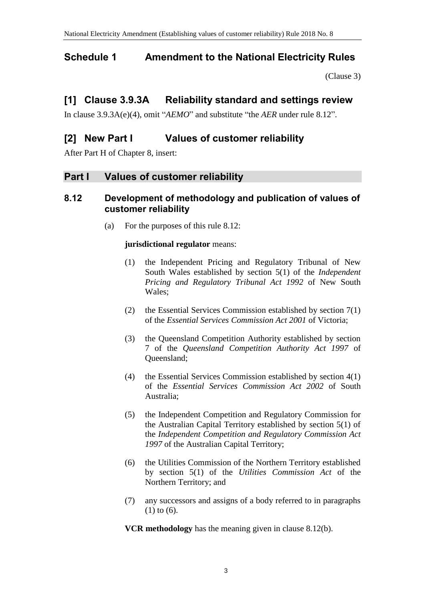# <span id="page-2-0"></span>**Schedule 1 Amendment to the National Electricity Rules**

[\(Clause 3\)](#page-1-0)

# **[1] Clause 3.9.3A Reliability standard and settings review**

In clause 3.9.3A(e)(4), omit "*AEMO*" and substitute "the *AER* under rule 8.12".

# **[2] New Part I Values of customer reliability**

After Part H of Chapter 8, insert:

### **Part I Values of customer reliability**

#### **8.12 Development of methodology and publication of values of customer reliability**

(a) For the purposes of this rule 8.12:

#### **jurisdictional regulator** means:

- (1) the Independent Pricing and Regulatory Tribunal of New South Wales established by section 5(1) of the *Independent Pricing and Regulatory Tribunal Act 1992* of New South Wales;
- (2) the Essential Services Commission established by section 7(1) of the *Essential Services Commission Act 2001* of Victoria;
- (3) the Queensland Competition Authority established by section 7 of the *Queensland Competition Authority Act 1997* of Queensland;
- (4) the Essential Services Commission established by section 4(1) of the *Essential Services Commission Act 2002* of South Australia;
- (5) the Independent Competition and Regulatory Commission for the Australian Capital Territory established by section 5(1) of the *Independent Competition and Regulatory Commission Act 1997* of the Australian Capital Territory;
- (6) the Utilities Commission of the Northern Territory established by section 5(1) of the *Utilities Commission Act* of the Northern Territory; and
- (7) any successors and assigns of a body referred to in paragraphs (1) to (6).

**VCR methodology** has the meaning given in clause 8.12(b).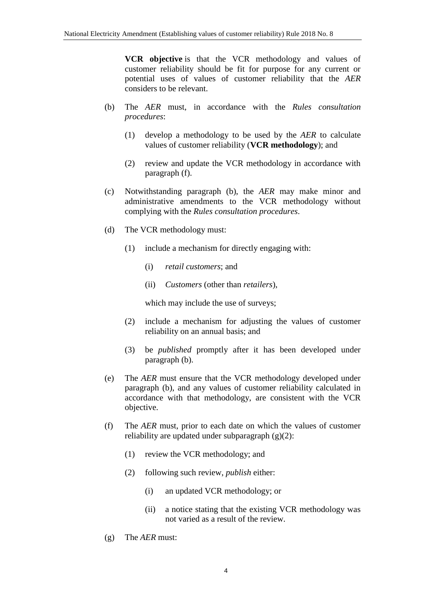**VCR objective** is that the VCR methodology and values of customer reliability should be fit for purpose for any current or potential uses of values of customer reliability that the *AER* considers to be relevant.

- (b) The *AER* must, in accordance with the *Rules consultation procedures*:
	- (1) develop a methodology to be used by the *AER* to calculate values of customer reliability (**VCR methodology**); and
	- (2) review and update the VCR methodology in accordance with paragraph (f).
- (c) Notwithstanding paragraph (b), the *AER* may make minor and administrative amendments to the VCR methodology without complying with the *Rules consultation procedures*.
- (d) The VCR methodology must:
	- (1) include a mechanism for directly engaging with:
		- (i) *retail customers*; and
		- (ii) *Customers* (other than *retailers*),

which may include the use of surveys;

- (2) include a mechanism for adjusting the values of customer reliability on an annual basis; and
- (3) be *published* promptly after it has been developed under paragraph (b).
- (e) The *AER* must ensure that the VCR methodology developed under paragraph (b), and any values of customer reliability calculated in accordance with that methodology, are consistent with the VCR objective.
- (f) The *AER* must, prior to each date on which the values of customer reliability are updated under subparagraph (g)(2):
	- (1) review the VCR methodology; and
	- (2) following such review, *publish* either:
		- (i) an updated VCR methodology; or
		- (ii) a notice stating that the existing VCR methodology was not varied as a result of the review.
- (g) The *AER* must: